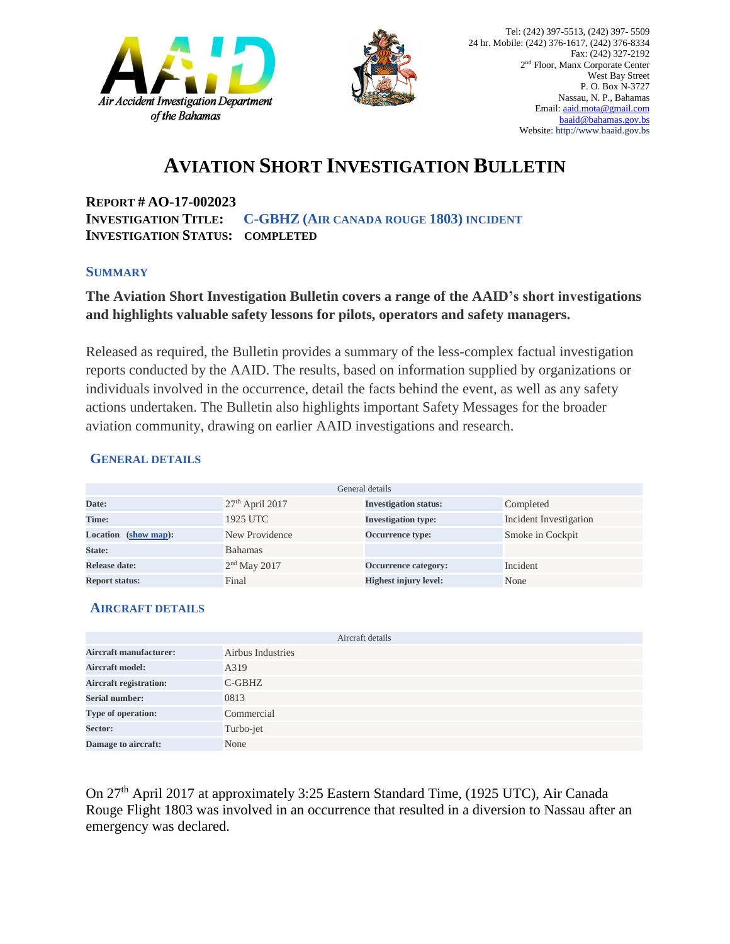



## **AVIATION SHORT INVESTIGATION BULLETIN**

**REPORT # AO-17-002023 INVESTIGATION TITLE: C-GBHZ (AIR CANADA ROUGE 1803) INCIDENT INVESTIGATION STATUS: COMPLETED** 

#### **SUMMARY**

### **The Aviation Short Investigation Bulletin covers a range of the AAID's short investigations and highlights valuable safety lessons for pilots, operators and safety managers.**

Released as required, the Bulletin provides a summary of the less-complex factual investigation reports conducted by the AAID. The results, based on information supplied by organizations or individuals involved in the occurrence, detail the facts behind the event, as well as any safety actions undertaken. The Bulletin also highlights important Safety Messages for the broader aviation community, drawing on earlier AAID investigations and research.

#### **GENERAL DETAILS**

| General details                |                   |                              |                        |
|--------------------------------|-------------------|------------------------------|------------------------|
| Date:                          | $27th$ April 2017 | <b>Investigation status:</b> | Completed              |
| Time:                          | 1925 UTC          | <b>Investigation type:</b>   | Incident Investigation |
| <b>Location</b><br>(show map): | New Providence    | Occurrence type:             | Smoke in Cockpit       |
| State:                         | <b>Bahamas</b>    |                              |                        |
| Release date:                  | $2nd$ May 2017    | Occurrence category:         | Incident               |
| <b>Report status:</b>          | Final             | <b>Highest injury level:</b> | None                   |

#### **AIRCRAFT DETAILS**

|                               | Aircraft details  |
|-------------------------------|-------------------|
| <b>Aircraft manufacturer:</b> | Airbus Industries |
| <b>Aircraft model:</b>        | A319              |
| <b>Aircraft registration:</b> | $C$ -GBHZ         |
| <b>Serial number:</b>         | 0813              |
| Type of operation:            | Commercial        |
| Sector:                       | Turbo-jet         |
| Damage to aircraft:           | None              |

On 27th April 2017 at approximately 3:25 Eastern Standard Time, (1925 UTC), Air Canada Rouge Flight 1803 was involved in an occurrence that resulted in a diversion to Nassau after an emergency was declared.